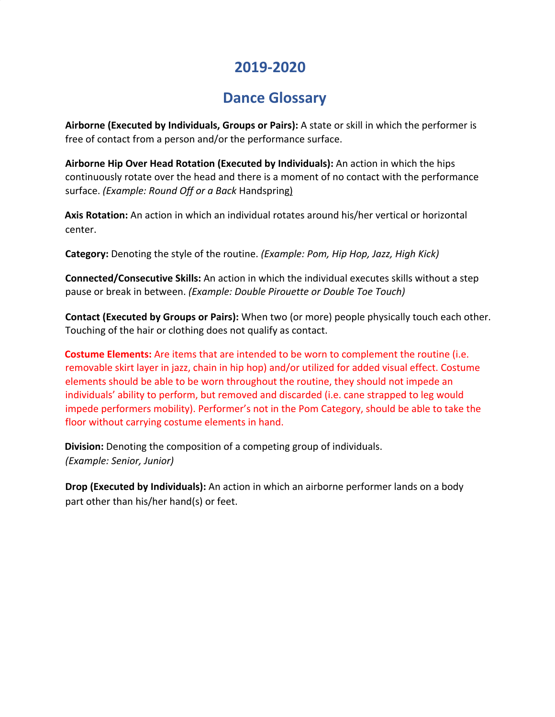## **2019-2020**

## **Dance Glossary**

**Airborne (Executed by Individuals, Groups or Pairs):** A state or skill in which the performer is free of contact from a person and/or the performance surface.

**Airborne Hip Over Head Rotation (Executed by Individuals):** An action in which the hips continuously rotate over the head and there is a moment of no contact with the performance surface. *(Example: Round Off or a Back* Handspring)

 **Axis Rotation:** An action in which an individual rotates around his/her vertical or horizontal center.

**Category:** Denoting the style of the routine. *(Example: Pom, Hip Hop, Jazz, High Kick)*

**Connected/Consecutive Skills:** An action in which the individual executes skills without a step pause or break in between. *(Example: Double Pirouette or Double Toe Touch)*

**Contact (Executed by Groups or Pairs):** When two (or more) people physically touch each other. Touching of the hair or clothing does not qualify as contact.

 **Costume Elements:** Are items that are intended to be worn to complement the routine (i.e. removable skirt layer in jazz, chain in hip hop) and/or utilized for added visual effect. Costume elements should be able to be worn throughout the routine, they should not impede an individuals' ability to perform, but removed and discarded (i.e. cane strapped to leg would impede performers mobility). Performer's not in the Pom Category, should be able to take the floor without carrying costume elements in hand.

 **Division:** Denoting the composition of a competing group of individuals. *(Example: Senior, Junior)*

**Drop (Executed by Individuals):** An action in which an airborne performer lands on a body part other than his/her hand(s) or feet.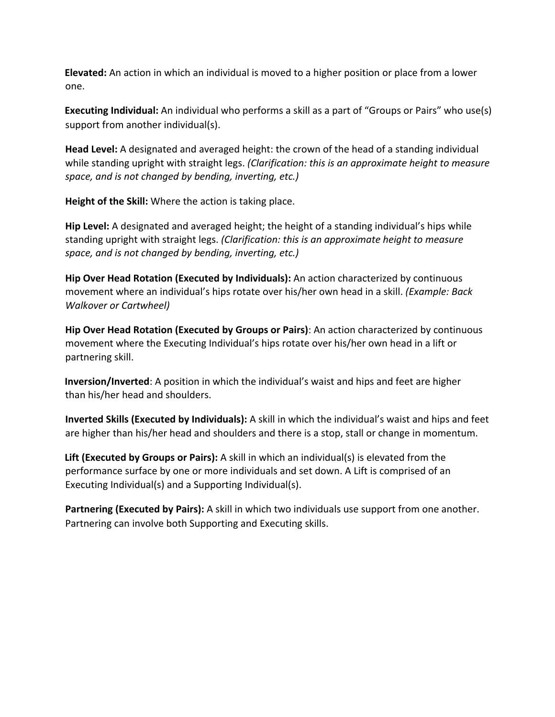**Elevated:** An action in which an individual is moved to a higher position or place from a lower one.

 **Executing Individual:** An individual who performs a skill as a part of "Groups or Pairs" who use(s) support from another individual(s).

**Head Level:** A designated and averaged height: the crown of the head of a standing individual while standing upright with straight legs. *(Clarification: this is an approximate height to measure space, and is not changed by bending, inverting, etc.)*

**Height of the Skill:** Where the action is taking place.

**Hip Level:** A designated and averaged height; the height of a standing individual's hips while standing upright with straight legs. *(Clarification: this is an approximate height to measure space, and is not changed by bending, inverting, etc.)*

**Hip Over Head Rotation (Executed by Individuals):** An action characterized by continuous movement where an individual's hips rotate over his/her own head in a skill. *(Example: Back Walkover or Cartwheel)*

**Hip Over Head Rotation (Executed by Groups or Pairs)**: An action characterized by continuous movement where the Executing Individual's hips rotate over his/her own head in a lift or partnering skill.

 **Inversion/Inverted**: A position in which the individual's waist and hips and feet are higher than his/her head and shoulders.

**Inverted Skills (Executed by Individuals):** A skill in which the individual's waist and hips and feet are higher than his/her head and shoulders and there is a stop, stall or change in momentum.

 **Lift (Executed by Groups or Pairs):** A skill in which an individual(s) is elevated from the performance surface by one or more individuals and set down. A Lift is comprised of an Executing Individual(s) and a Supporting Individual(s).

**Partnering (Executed by Pairs):** A skill in which two individuals use support from one another. Partnering can involve both Supporting and Executing skills.